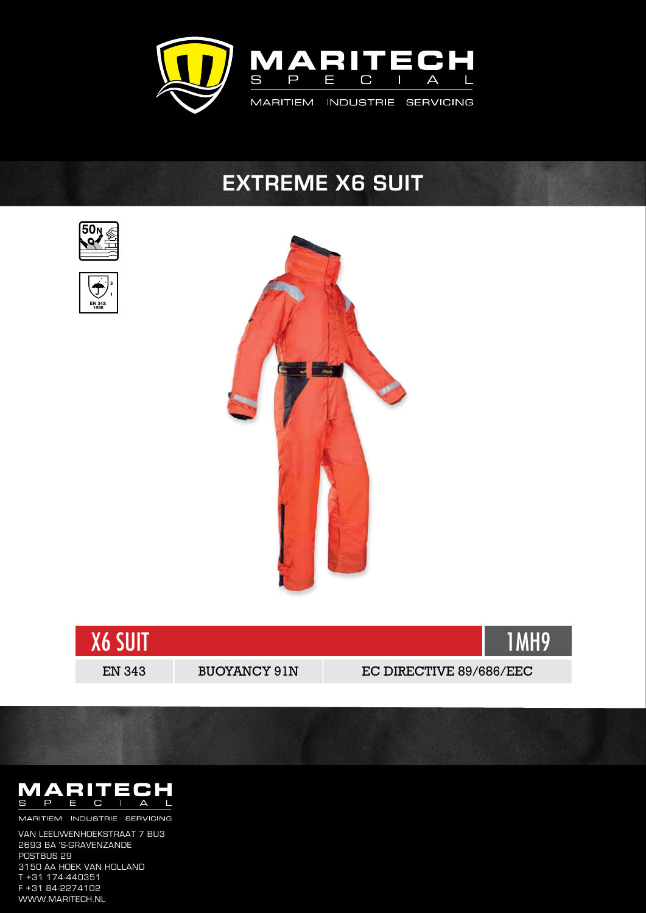

## **EXTREME X6 SUIT**  $\frac{1}{2}$



3 1

EN 343: 1998

J





• High abrasion resistance reinforcement panels added to knees and seat area



MARITIEM INDUSTRIE SERVICING  $\mathbf{H} = \mathbf{H} \cdot \mathbf{H} = \mathbf{H} \cdot \mathbf{H}$  strap with touch and close fastening with touch and close fastening  $\mathbf{H} = \mathbf{H} \cdot \mathbf{H}$ 

even adjustable insulated peaked hood, with built-insulated peaked hood, with built-in chin and face protection stowed  $\mu$ POSTBUS 29<br>3150 AA HOEK VAN HOLLAND • Solar approved retro-reflective tape on hood, upper arms and writing the second writing tape on hood, upper a<br>1351  $\frac{1102}{1000}$ • Storm flap Van Leeuwenhoekstraat 7 BU3 2693 BA 's-Gravenzande POSTBUS 29 T +31 174-440351 F +31 84-2274102 www.maritech.nl